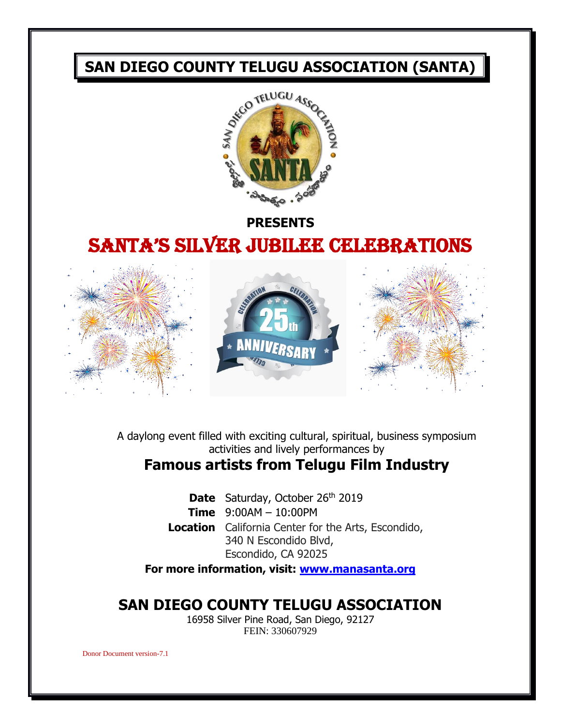

# **PRESENTS** SANTA'S SILVER JUBILEE CELEBRATIONS



A daylong event filled with exciting cultural, spiritual, business symposium activities and lively performances by **Famous artists from Telugu Film Industry**

> **Date** Saturday, October 26<sup>th</sup> 2019 **Time** 9:00AM – 10:00PM

**Location** California Center for the Arts, Escondido, 340 N Escondido Blvd, Escondido, CA 92025

**For more information, visit: [www.manasanta.org](http://www.manasanta.org/)**

## **SAN DIEGO COUNTY TELUGU ASSOCIATION**

16958 Silver Pine Road, San Diego, 92127 FEIN: 330607929

Donor Document version-7.1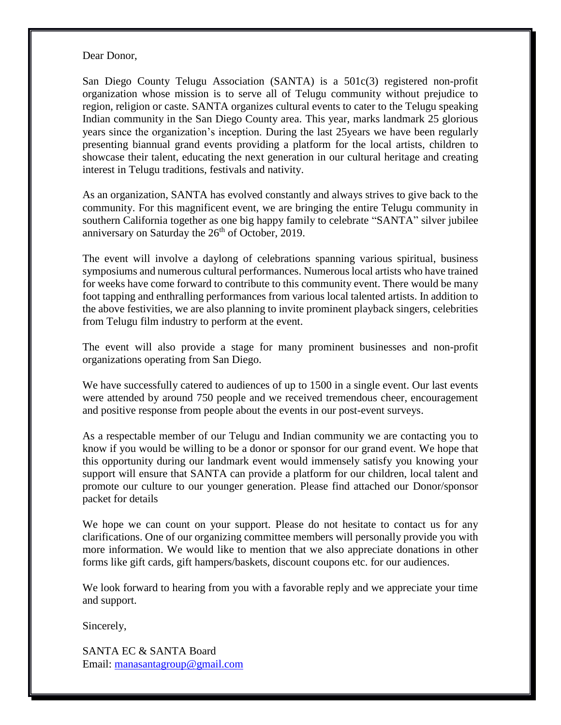Dear Donor,

San Diego County Telugu Association (SANTA) is a 501c(3) registered non-profit organization whose mission is to serve all of Telugu community without prejudice to region, religion or caste. SANTA organizes cultural events to cater to the Telugu speaking Indian community in the San Diego County area. This year, marks landmark 25 glorious years since the organization's inception. During the last 25years we have been regularly presenting biannual grand events providing a platform for the local artists, children to showcase their talent, educating the next generation in our cultural heritage and creating interest in Telugu traditions, festivals and nativity.

As an organization, SANTA has evolved constantly and always strives to give back to the community. For this magnificent event, we are bringing the entire Telugu community in southern California together as one big happy family to celebrate "SANTA" silver jubilee anniversary on Saturday the  $26<sup>th</sup>$  of October, 2019.

The event will involve a daylong of celebrations spanning various spiritual, business symposiums and numerous cultural performances. Numerous local artists who have trained for weeks have come forward to contribute to this community event. There would be many foot tapping and enthralling performances from various local talented artists. In addition to the above festivities, we are also planning to invite prominent playback singers, celebrities from Telugu film industry to perform at the event.

The event will also provide a stage for many prominent businesses and non-profit organizations operating from San Diego.

We have successfully catered to audiences of up to 1500 in a single event. Our last events were attended by around 750 people and we received tremendous cheer, encouragement and positive response from people about the events in our post-event surveys.

As a respectable member of our Telugu and Indian community we are contacting you to know if you would be willing to be a donor or sponsor for our grand event. We hope that this opportunity during our landmark event would immensely satisfy you knowing your support will ensure that SANTA can provide a platform for our children, local talent and promote our culture to our younger generation. Please find attached our Donor/sponsor packet for details

We hope we can count on your support. Please do not hesitate to contact us for any clarifications. One of our organizing committee members will personally provide you with more information. We would like to mention that we also appreciate donations in other forms like gift cards, gift hampers/baskets, discount coupons etc. for our audiences.

We look forward to hearing from you with a favorable reply and we appreciate your time and support.

Sincerely,

SANTA EC & SANTA Board Email: [manasantagroup@gmail.com](mailto:manasantagroup@gmail.com)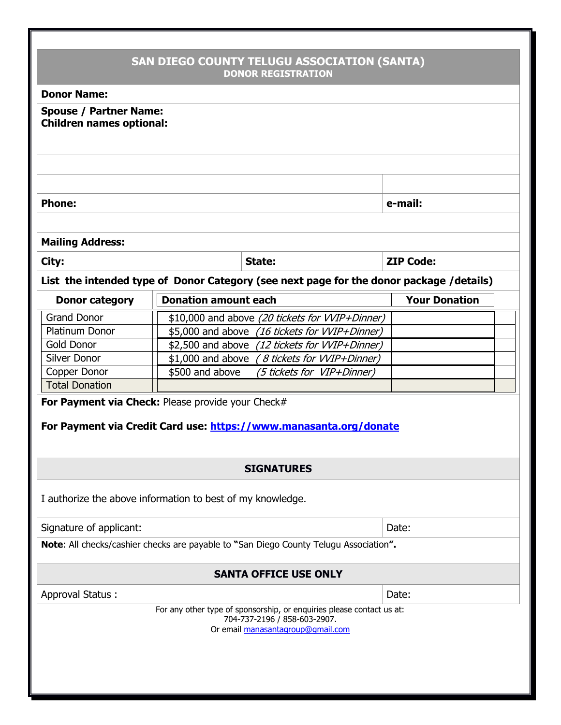| <b>Spouse / Partner Name:</b><br><b>Children names optional:</b> |                                                                                         |                      |
|------------------------------------------------------------------|-----------------------------------------------------------------------------------------|----------------------|
|                                                                  |                                                                                         |                      |
|                                                                  |                                                                                         |                      |
| <b>Phone:</b>                                                    | e-mail:                                                                                 |                      |
| <b>Mailing Address:</b>                                          |                                                                                         |                      |
| City:                                                            | State:                                                                                  | <b>ZIP Code:</b>     |
|                                                                  | List the intended type of Donor Category (see next page for the donor package /details) |                      |
| <b>Donor category</b>                                            | <b>Donation amount each</b>                                                             | <b>Your Donation</b> |
| <b>Grand Donor</b>                                               | \$10,000 and above (20 tickets for WIP+Dinner)                                          |                      |
| Platinum Donor                                                   | \$5,000 and above (16 tickets for WIP+Dinner)                                           |                      |
| <b>Gold Donor</b>                                                | \$2,500 and above (12 tickets for WIP+Dinner)                                           |                      |
|                                                                  |                                                                                         |                      |
| <b>Silver Donor</b>                                              | \$1,000 and above (8 tickets for WIP+Dinner)                                            |                      |
| Copper Donor                                                     | \$500 and above<br>(5 tickets for VIP+Dinner)                                           |                      |
| <b>Total Donation</b>                                            | For Payment via Check: Please provide your Check#                                       |                      |
|                                                                  | For Payment via Credit Card use: https://www.manasanta.org/donate<br><b>SIGNATURES</b>  |                      |
|                                                                  | I authorize the above information to best of my knowledge.                              |                      |
| Signature of applicant:                                          |                                                                                         | Date:                |
|                                                                  | Note: All checks/cashier checks are payable to "San Diego County Telugu Association".   |                      |
|                                                                  | <b>SANTA OFFICE USE ONLY</b>                                                            |                      |
| Approval Status:                                                 |                                                                                         | Date:                |